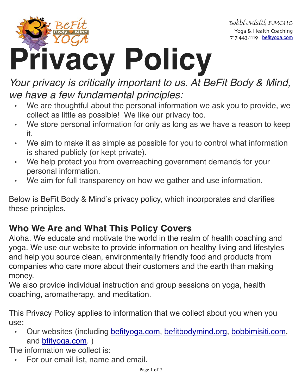

Bobbi Misiti, FMCHC Yoga & Health Coaching 717.443.1119 [befityoga.com](http://befityoga.com)

# **Privacy Policy**

# *Your privacy is critically important to us. At BeFit Body & Mind, we have a few fundamental principles:*

- We are thoughtful about the personal information we ask you to provide, we collect as little as possible! We like our privacy too.
- We store personal information for only as long as we have a reason to keep it.
- We aim to make it as simple as possible for you to control what information is shared publicly (or kept private).
- We help protect you from overreaching government demands for your personal information.
- We aim for full transparency on how we gather and use information.

Below is BeFit Body & Mind's privacy policy, which incorporates and clarifies these principles.

# **Who We Are and What This Policy Covers**

Aloha. We educate and motivate the world in the realm of health coaching and yoga. We use our website to provide information on healthy living and lifestyles and help you source clean, environmentally friendly food and products from companies who care more about their customers and the earth than making money.

We also provide individual instruction and group sessions on yoga, health coaching, aromatherapy, and meditation.

This Privacy Policy applies to information that we collect about you when you use:

• Our websites (including [befityoga.com](http://befityoga.com), [befitbodymind.org](http://befitbodymind.org), [bobbimisiti.com,](http://bobbimisiti.com) and [bfityoga.com.](http://bfityoga.com) )

The information we collect is:

• For our email list, name and email.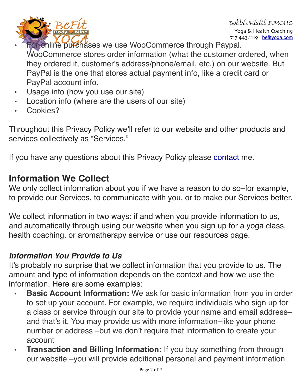

Bobbi Misiti, FMCHC Yoga & Health Coaching 717.443.1119 [befityoga.com](http://befityoga.com)

- For online purchases we use WooCommerce through Paypal. WooCommerce stores order information (what the customer ordered, when they ordered it, customer's address/phone/email, etc.) on our website. But PayPal is the one that stores actual payment info, like a credit card or PayPal account info.
- Usage info (how you use our site)
- Location info (where are the users of our site)
- Cookies?

Throughout this Privacy Policy we'll refer to our website and other products and services collectively as "Services."

If you have any questions about this Privacy Policy please [contact](https://www.befityoga.com/contact/) me.

# **Information We Collect**

We only collect information about you if we have a reason to do so-for example, to provide our Services, to communicate with you, or to make our Services better.

We collect information in two ways: if and when you provide information to us, and automatically through using our website when you sign up for a yoga class, health coaching, or aromatherapy service or use our resources page.

#### *Information You Provide to Us*

It's probably no surprise that we collect information that you provide to us. The amount and type of information depends on the context and how we use the information. Here are some examples:

- **• Basic Account Information:** We ask for basic information from you in order to set up your account. For example, we require individuals who sign up for a class or service through our site to provide your name and email address– and that's it. You may provide us with more information–like your phone number or address –but we don't require that information to create your account
- **Fransaction and Billing Information:** If you buy something from through our website –you will provide additional personal and payment information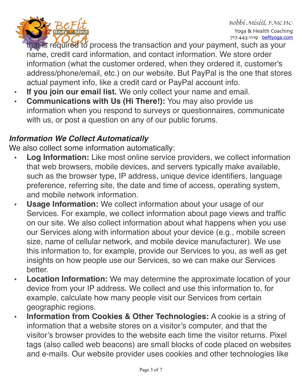

Bobbi Misiti, FMCHC Yoga & Health Coaching 717.443.1119 [befityoga.com](http://befityoga.com)

hat is required to process the transaction and your payment, such as your name, credit card information, and contact information. We store order information (what the customer ordered, when they ordered it, customer's address/phone/email, etc.) on our website. But PayPal is the one that stores actual payment info, like a credit card or PayPal account info.

- **• If you join our email list.** We only collect your name and email.
- **• Communications with Us (Hi There!):** You may also provide us information when you respond to surveys or questionnaires, communicate with us, or post a question on any of our public forums.

#### *Information We Collect Automatically*

We also collect some information automatically:

- **• Log Information:** Like most online service providers, we collect information that web browsers, mobile devices, and servers typically make available, such as the browser type, IP address, unique device identifiers, language preference, referring site, the date and time of access, operating system, and mobile network information.
- **• Usage Information:** We collect information about your usage of our Services. For example, we collect information about page views and traffic on our site. We also collect information about what happens when you use our Services along with information about your device (e.g., mobile screen size, name of cellular network, and mobile device manufacturer). We use this information to, for example, provide our Services to you, as well as get insights on how people use our Services, so we can make our Services better.
- **• Location Information:** We may determine the approximate location of your device from your IP address. We collect and use this information to, for example, calculate how many people visit our Services from certain geographic regions.
- **Information from Cookies & Other Technologies:** A cookie is a string of information that a website stores on a visitor's computer, and that the visitor's browser provides to the website each time the visitor returns. Pixel tags (also called web beacons) are small blocks of code placed on websites and e-mails. Our website provider uses cookies and other technologies like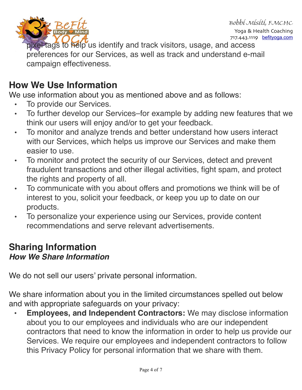

Bobbi Misiti, FMCHC Yoga & Health Coaching 717.443.1119 **[befityoga.com](http://befityoga.com)** 

pixel tags to help us identify and track visitors, usage, and access preferences for our Services, as well as track and understand e-mail campaign effectiveness.

# **How We Use Information**

We use information about you as mentioned above and as follows:

- To provide our Services.
- To further develop our Services–for example by adding new features that we think our users will enjoy and/or to get your feedback.
- To monitor and analyze trends and better understand how users interact with our Services, which helps us improve our Services and make them easier to use.
- To monitor and protect the security of our Services, detect and prevent fraudulent transactions and other illegal activities, fight spam, and protect the rights and property of all.
- To communicate with you about offers and promotions we think will be of interest to you, solicit your feedback, or keep you up to date on our products.
- To personalize your experience using our Services, provide content recommendations and serve relevant advertisements.

## **Sharing Information** *How We Share Information*

We do not sell our users' private personal information.

We share information about you in the limited circumstances spelled out below and with appropriate safeguards on your privacy:

**• Employees, and Independent Contractors:** We may disclose information about you to our employees and individuals who are our independent contractors that need to know the information in order to help us provide our Services. We require our employees and independent contractors to follow this Privacy Policy for personal information that we share with them.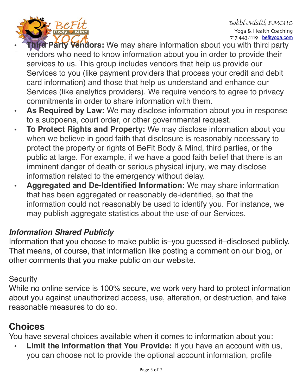

Bobbi Misiti, FMCHC Yoga & Health Coaching 717.443.1119 **[befityoga.com](http://befityoga.com)** 

- **hird Party Vendors:** We may share information about you with third party vendors who need to know information about you in order to provide their services to us. This group includes vendors that help us provide our Services to you (like payment providers that process your credit and debit card information) and those that help us understand and enhance our Services (like analytics providers). We require vendors to agree to privacy commitments in order to share information with them.
- **• As Required by Law:** We may disclose information about you in response to a subpoena, court order, or other governmental request.
- **• To Protect Rights and Property:** We may disclose information about you when we believe in good faith that disclosure is reasonably necessary to protect the property or rights of BeFit Body & Mind, third parties, or the public at large. For example, if we have a good faith belief that there is an imminent danger of death or serious physical injury, we may disclose information related to the emergency without delay.
- **• Aggregated and De-Identified Information:** We may share information that has been aggregated or reasonably de-identified, so that the information could not reasonably be used to identify you. For instance, we may publish aggregate statistics about the use of our Services.

#### *Information Shared Publicly*

Information that you choose to make public is–you guessed it–disclosed publicly. That means, of course, that information like posting a comment on our blog, or other comments that you make public on our website.

#### **Security**

While no online service is 100% secure, we work very hard to protect information about you against unauthorized access, use, alteration, or destruction, and take reasonable measures to do so.

# **Choices**

You have several choices available when it comes to information about you:

**• Limit the Information that You Provide:** If you have an account with us, you can choose not to provide the optional account information, profile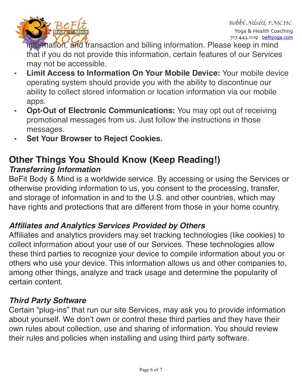

information, and transaction and billing information. Please keep in mind that if you do not provide this information, certain features of our Services may not be accessible.

- **• Limit Access to Information On Your Mobile Device:** Your mobile device operating system should provide you with the ability to discontinue our ability to collect stored information or location information via our mobile apps.
- **• Opt-Out of Electronic Communications:** You may opt out of receiving promotional messages from us. Just follow the instructions in those messages.
- **• Set Your Browser to Reject Cookies.**

## **Other Things You Should Know (Keep Reading!)** *Transferring Information*

BeFit Body & Mind is a worldwide service. By accessing or using the Services or otherwise providing information to us, you consent to the processing, transfer, and storage of information in and to the U.S. and other countries, which may have rights and protections that are different from those in your home country.

## *Affiliates and Analytics Services Provided by Others*

Affiliates and analytics providers may set tracking technologies (like cookies) to collect information about your use of our Services. These technologies allow these third parties to recognize your device to compile information about you or others who use your device. This information allows us and other companies to, among other things, analyze and track usage and determine the popularity of certain content.

#### *Third Party Software*

Certain "plug-ins" that run our site Services, may ask you to provide information about yourself. We don't own or control these third parties and they have their own rules about collection, use and sharing of information. You should review their rules and policies when installing and using third party software.